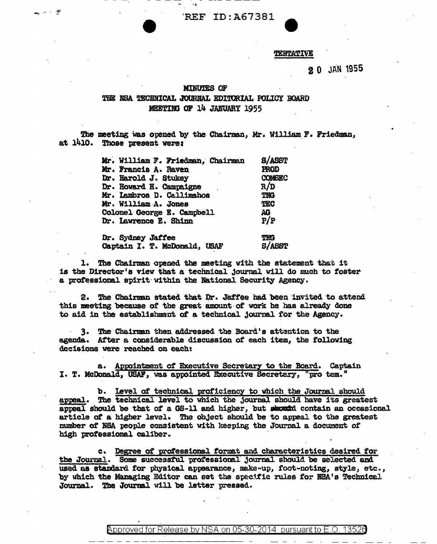REF ID:A67381

### TENTATIVE

# 20 JAN 1955

#### **MINUTES OF**

فوجدت المستور

## THE NSA TECHNICAL JOURNAL EDITORIAL POLICY BOARD MEETING OF 14 JANUARY 1955

The meeting was opened by the Chairman, Mr. William F. Friedman, at 1410. Those present were:

| Mr. William F. Friedman, Chairman               | <b>S/ASST</b>        |
|-------------------------------------------------|----------------------|
| Mr. Francis A. Raven                            | <b>FROD</b>          |
| Dr. Harold J. Stukey<br>Dr. Howard H. Campaigne | <b>COMBEC</b><br>R/D |
|                                                 |                      |
| Mr. William A. Jones                            | TEC                  |
| Colonel George E. Campbell                      | AG                   |
| Dr. Lawrence E. Shinn                           | P/P                  |
|                                                 |                      |

Dr. Sydney Jaffee **TMG** Captain I. T. McDonald, USAF S/ASST

The Chairman opened the meeting with the statement that it is the Director's view that a technical journal will do much to foster a professional spirit within the National Security Agency.

2. The Chairman stated that Dr. Jaffee had been invited to attend this meeting because of the great amount of work he has already done to aid in the establishment of a technical journal for the Agency.

3. The Chairman then addressed the Board's attention to the agenda. After a considerable discussion of each item, the following decisions were reached on each:

a. Appointment of Executive Secretary to the Board. Captain I. T. McDonald, USAF, was appointed Executive Secretery, "pro tem."

b. Level of technical proficiency to which the Journal should The technical level to which the journal should have its greatest appeal. appeal should be that of a GS-11 and higher, but stated contain an occasional article of a higher level. The object should be to appeal to the greatest number of NSA people consistent with keeping the Journal a document of high professional caliber.

c. Degree of professional format and characteristics desired for the Journal. Some successful professional journal should be selected and used as standard for physical appearance, make-up, foot-noting, style, etc., by which the Managing Editor can set the specific rules for NSA's Technical Journal. The Journal will be letter pressed.

> Approved for Release by NSA on 05-30-2014 pursuant to E.O. 13526